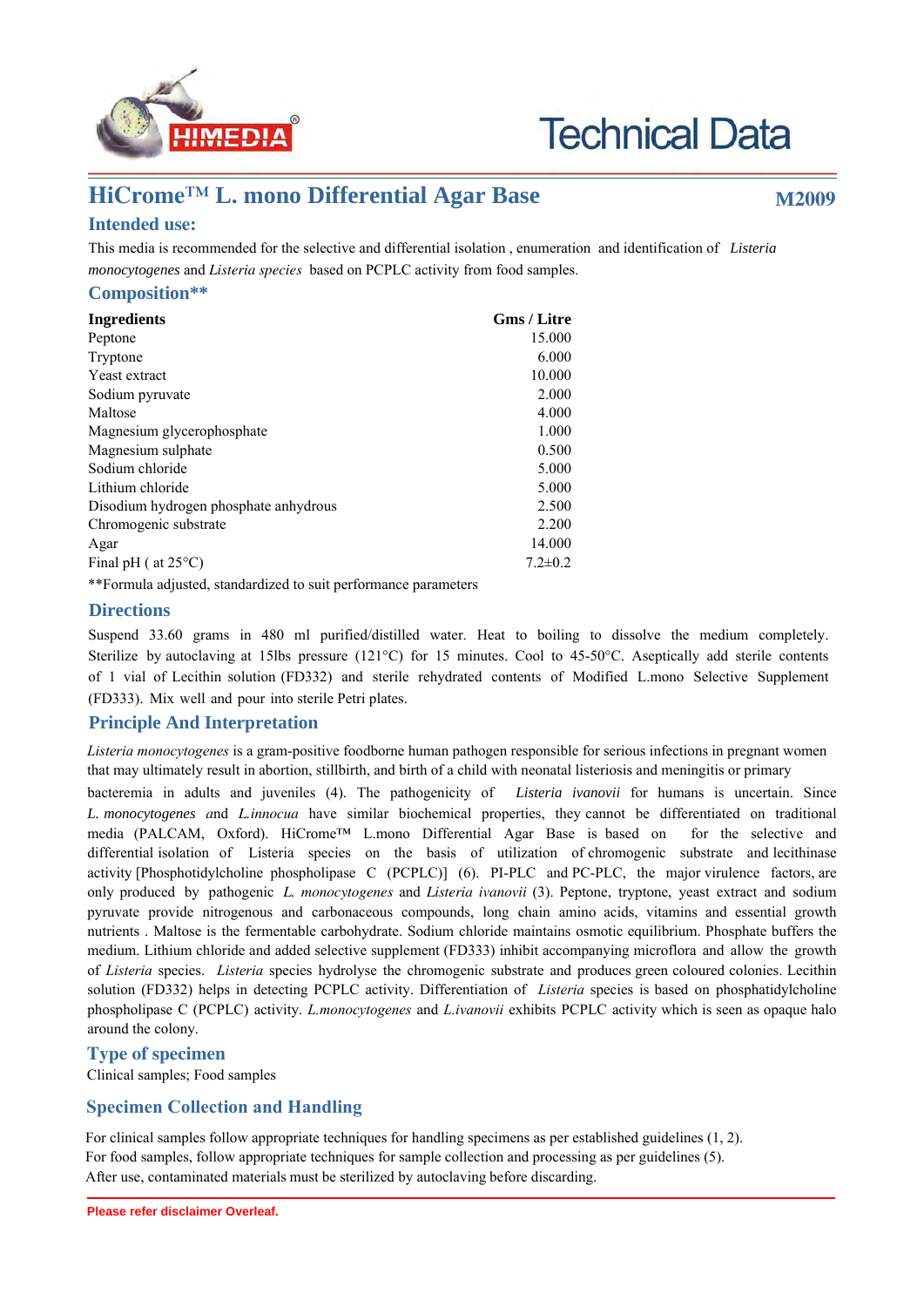

# **Technical Data**

## **HiCrome™ L. mono Differential Agar Base M2009**

### **Intended use:**

This media is recommended for the selective and differential isolation , enumeration and identification of *Listeria monocytogenes* and *Listeria species* based on PCPLC activity from food samples.

#### **Composition\*\***

| <b>Ingredients</b>                                              | <b>Gms / Litre</b> |
|-----------------------------------------------------------------|--------------------|
| Peptone                                                         | 15.000             |
| Tryptone                                                        | 6.000              |
| Yeast extract                                                   | 10.000             |
| Sodium pyruvate                                                 | 2.000              |
| Maltose                                                         | 4.000              |
| Magnesium glycerophosphate                                      | 1.000              |
| Magnesium sulphate                                              | 0.500              |
| Sodium chloride                                                 | 5.000              |
| Lithium chloride                                                | 5.000              |
| Disodium hydrogen phosphate anhydrous                           | 2.500              |
| Chromogenic substrate                                           | 2.200              |
| Agar                                                            | 14.000             |
| Final pH ( $at 25^{\circ}$ C)                                   | $7.2 \pm 0.2$      |
| **Formula adjusted, standardized to suit performance parameters |                    |

#### **Directions**

Suspend 33.60 grams in 480 ml purified/distilled water. Heat to boiling to dissolve the medium completely. Sterilize by autoclaving at 15lbs pressure (121°C) for 15 minutes. Cool to 45-50°C. Aseptically add sterile contents of 1 vial of Lecithin solution (FD332) and sterile rehydrated contents of Modified L.mono Selective Supplement (FD333). Mix well and pour into sterile Petri plates.

#### **Principle And Interpretation**

*Listeria monocytogenes* is a gram-positive foodborne human pathogen responsible for serious infections in pregnant women that may ultimately result in abortion, stillbirth, and birth of a child with neonatal listeriosis and meningitis or primary

bacteremia in adults and juveniles (4). The pathogenicity of *Listeria ivanovii* for humans is uncertain. Since *L. monocytogenes a*nd *L.innocua* have similar biochemical properties, they cannot be differentiated on traditional media (PALCAM, Oxford). HiCrome™ L.mono Differential Agar Base is based on for the selective and differential isolation of Listeria species on the basis of utilization of chromogenic substrate and lecithinase activity [Phosphotidylcholine phospholipase C (PCPLC)] (6). PI-PLC and PC-PLC, the major virulence factors, are only produced by pathogenic *L. monocytogenes* and *Listeria ivanovii* (3). Peptone, tryptone, yeast extract and sodium pyruvate provide nitrogenous and carbonaceous compounds, long chain amino acids, vitamins and essential growth nutrients . Maltose is the fermentable carbohydrate. Sodium chloride maintains osmotic equilibrium. Phosphate buffers the medium. Lithium chloride and added selective supplement (FD333) inhibit accompanying microflora and allow the growth of *Listeria* species. *Listeria* species hydrolyse the chromogenic substrate and produces green coloured colonies. Lecithin solution (FD332) helps in detecting PCPLC activity. Differentiation of *Listeria* species is based on phosphatidylcholine phospholipase C (PCPLC) activity. *L.monocytogenes* and *L.ivanovii* exhibits PCPLC activity which is seen as opaque halo around the colony.

#### **Type of specimen**

Clinical samples; Food samples

#### **Specimen Collection and Handling**

For clinical samples follow appropriate techniques for handling specimens as per established guidelines (1, 2). For food samples, follow appropriate techniques for sample collection and processing as per guidelines (5). After use, contaminated materials must be sterilized by autoclaving before discarding.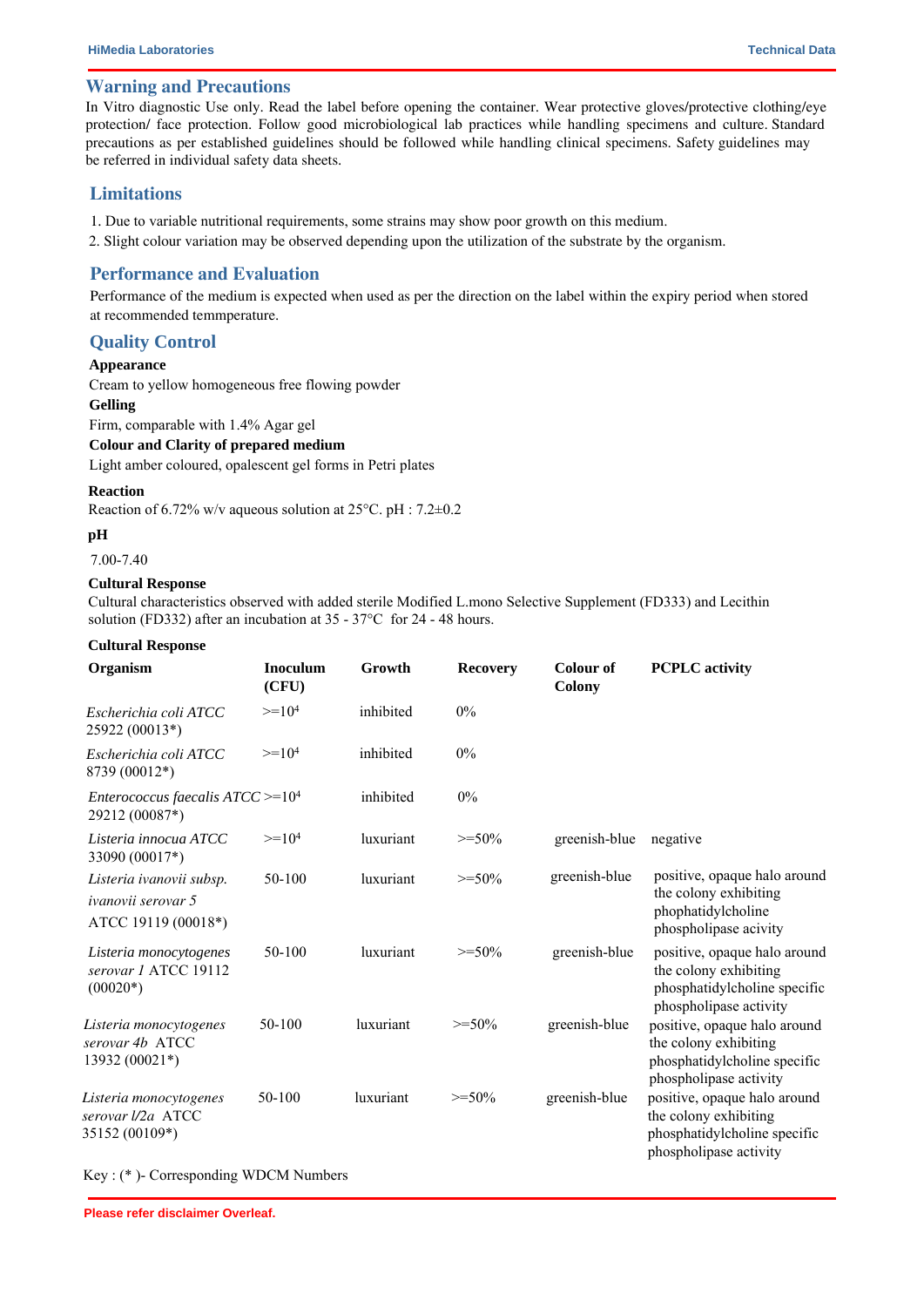#### **Warning and Precautions**

In Vitro diagnostic Use only. Read the label before opening the container. Wear protective gloves/protective clothing/eye protection/ face protection. Follow good microbiological lab practices while handling specimens and culture. Standard precautions as per established guidelines should be followed while handling clinical specimens. Safety guidelines may be referred in individual safety data sheets.

#### **Limitations**

- 1. Due to variable nutritional requirements, some strains may show poor growth on this medium.
- 2. Slight colour variation may be observed depending upon the utilization of the substrate by the organism.

#### **Performance and Evaluation**

Performance of the medium is expected when used as per the direction on the label within the expiry period when stored at recommended temmperature.

#### **Quality Control**

#### **Appearance**

Cream to yellow homogeneous free flowing powder

#### **Gelling**

Firm, comparable with 1.4% Agar gel

#### **Colour and Clarity of prepared medium**

Light amber coloured, opalescent gel forms in Petri plates

#### **Reaction**

Reaction of 6.72% w/v aqueous solution at 25°C. pH : 7.2±0.2

#### **pH**

7.00-7.40

#### **Cultural Response**

Cultural characteristics observed with added sterile Modified L.mono Selective Supplement (FD333) and Lecithin solution (FD332) after an incubation at 35 - 37°C for 24 - 48 hours.

#### **Cultural Response**

| Organism                                                                     | <b>Inoculum</b><br>(CFU) | Growth    | <b>Recovery</b> | <b>Colour of</b><br><b>Colony</b> | <b>PCPLC</b> activity                                                                                           |
|------------------------------------------------------------------------------|--------------------------|-----------|-----------------|-----------------------------------|-----------------------------------------------------------------------------------------------------------------|
| Escherichia coli ATCC<br>25922 (00013*)                                      | $>=104$                  | inhibited | $0\%$           |                                   |                                                                                                                 |
| Escherichia coli ATCC<br>8739 (00012*)                                       | $>=104$                  | inhibited | $0\%$           |                                   |                                                                                                                 |
| <i>Enterococcus faecalis ATCC</i> >= $104$<br>29212 (00087*)                 |                          | inhibited | 0%              |                                   |                                                                                                                 |
| Listeria innocua ATCC<br>33090 (00017*)                                      | $>=104$                  | luxuriant | $>=50%$         | greenish-blue                     | negative                                                                                                        |
| Listeria ivanovii subsp.<br><i>ivanovii serovar</i> 5<br>ATCC 19119 (00018*) | 50-100                   | luxuriant | $>=50\%$        | greenish-blue                     | positive, opaque halo around<br>the colony exhibiting<br>phophatidylcholine<br>phospholipase acivity            |
| Listeria monocytogenes<br>serovar 1 ATCC 19112<br>$(00020*)$                 | 50-100                   | luxuriant | $>=50%$         | greenish-blue                     | positive, opaque halo around<br>the colony exhibiting<br>phosphatidylcholine specific<br>phospholipase activity |
| Listeria monocytogenes<br>serovar 4b ATCC<br>13932 (00021*)                  | 50-100                   | luxuriant | $>=50%$         | greenish-blue                     | positive, opaque halo around<br>the colony exhibiting<br>phosphatidylcholine specific<br>phospholipase activity |
| Listeria monocytogenes<br>serovar l/2a ATCC<br>35152 (00109*)                | 50-100                   | luxuriant | $>=50\%$        | greenish-blue                     | positive, opaque halo around<br>the colony exhibiting<br>phosphatidylcholine specific<br>phospholipase activity |

Key : (\* )- Corresponding WDCM Numbers